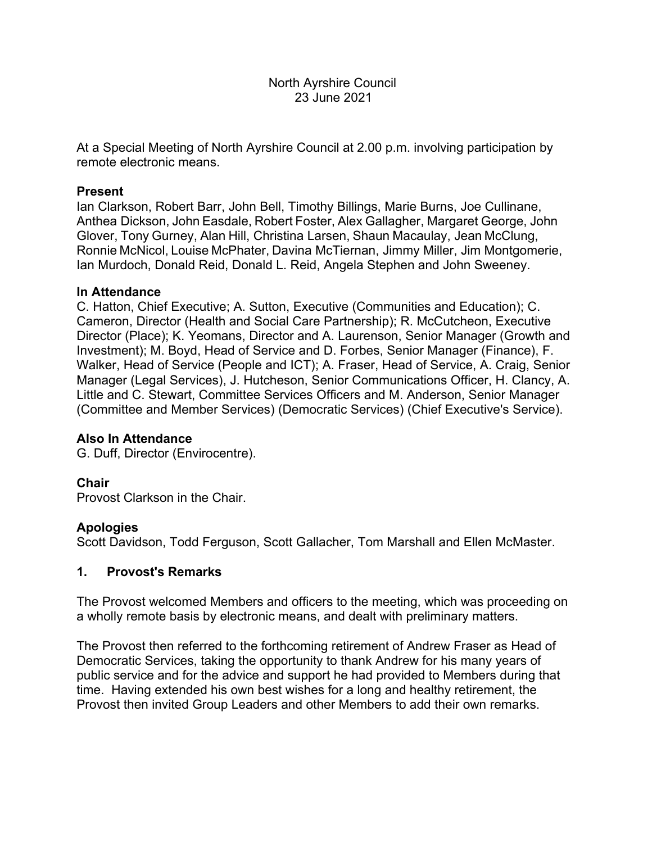### North Ayrshire Council 23 June 2021

At a Special Meeting of North Ayrshire Council at 2.00 p.m. involving participation by remote electronic means.

### **Present**

Ian Clarkson, Robert Barr, John Bell, Timothy Billings, Marie Burns, Joe Cullinane, Anthea Dickson, John Easdale, Robert Foster, Alex Gallagher, Margaret George, John Glover, Tony Gurney, Alan Hill, Christina Larsen, Shaun Macaulay, Jean McClung, Ronnie McNicol, Louise McPhater, Davina McTiernan, Jimmy Miller, Jim Montgomerie, Ian Murdoch, Donald Reid, Donald L. Reid, Angela Stephen and John Sweeney.

#### **In Attendance**

C. Hatton, Chief Executive; A. Sutton, Executive (Communities and Education); C. Cameron, Director (Health and Social Care Partnership); R. McCutcheon, Executive Director (Place); K. Yeomans, Director and A. Laurenson, Senior Manager (Growth and Investment); M. Boyd, Head of Service and D. Forbes, Senior Manager (Finance), F. Walker, Head of Service (People and ICT); A. Fraser, Head of Service, A. Craig, Senior Manager (Legal Services), J. Hutcheson, Senior Communications Officer, H. Clancy, A. Little and C. Stewart, Committee Services Officers and M. Anderson, Senior Manager (Committee and Member Services) (Democratic Services) (Chief Executive's Service).

## **Also In Attendance**

G. Duff, Director (Envirocentre).

## **Chair**

Provost Clarkson in the Chair.

#### **Apologies**

Scott Davidson, Todd Ferguson, Scott Gallacher, Tom Marshall and Ellen McMaster.

#### **1. Provost's Remarks**

The Provost welcomed Members and officers to the meeting, which was proceeding on a wholly remote basis by electronic means, and dealt with preliminary matters.

The Provost then referred to the forthcoming retirement of Andrew Fraser as Head of Democratic Services, taking the opportunity to thank Andrew for his many years of public service and for the advice and support he had provided to Members during that time. Having extended his own best wishes for a long and healthy retirement, the Provost then invited Group Leaders and other Members to add their own remarks.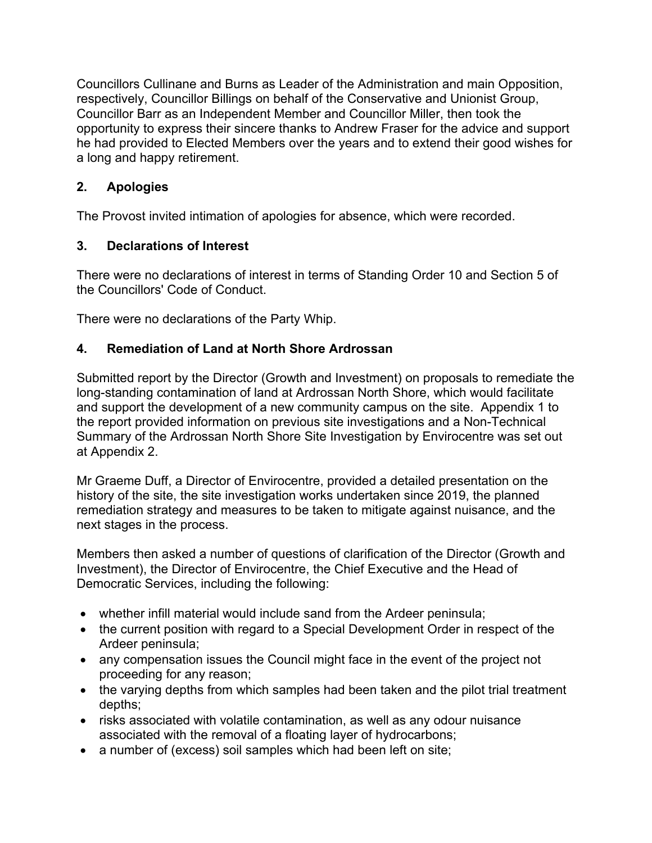Councillors Cullinane and Burns as Leader of the Administration and main Opposition, respectively, Councillor Billings on behalf of the Conservative and Unionist Group, Councillor Barr as an Independent Member and Councillor Miller, then took the opportunity to express their sincere thanks to Andrew Fraser for the advice and support he had provided to Elected Members over the years and to extend their good wishes for a long and happy retirement.

# **2. Apologies**

The Provost invited intimation of apologies for absence, which were recorded.

# **3. Declarations of Interest**

There were no declarations of interest in terms of Standing Order 10 and Section 5 of the Councillors' Code of Conduct.

There were no declarations of the Party Whip.

## **4. Remediation of Land at North Shore Ardrossan**

Submitted report by the Director (Growth and Investment) on proposals to remediate the long-standing contamination of land at Ardrossan North Shore, which would facilitate and support the development of a new community campus on the site. Appendix 1 to the report provided information on previous site investigations and a Non-Technical Summary of the Ardrossan North Shore Site Investigation by Envirocentre was set out at Appendix 2.

Mr Graeme Duff, a Director of Envirocentre, provided a detailed presentation on the history of the site, the site investigation works undertaken since 2019, the planned remediation strategy and measures to be taken to mitigate against nuisance, and the next stages in the process.

Members then asked a number of questions of clarification of the Director (Growth and Investment), the Director of Envirocentre, the Chief Executive and the Head of Democratic Services, including the following:

- whether infill material would include sand from the Ardeer peninsula;
- the current position with regard to a Special Development Order in respect of the Ardeer peninsula;
- any compensation issues the Council might face in the event of the project not proceeding for any reason;
- the varying depths from which samples had been taken and the pilot trial treatment depths;
- risks associated with volatile contamination, as well as any odour nuisance associated with the removal of a floating layer of hydrocarbons;
- a number of (excess) soil samples which had been left on site;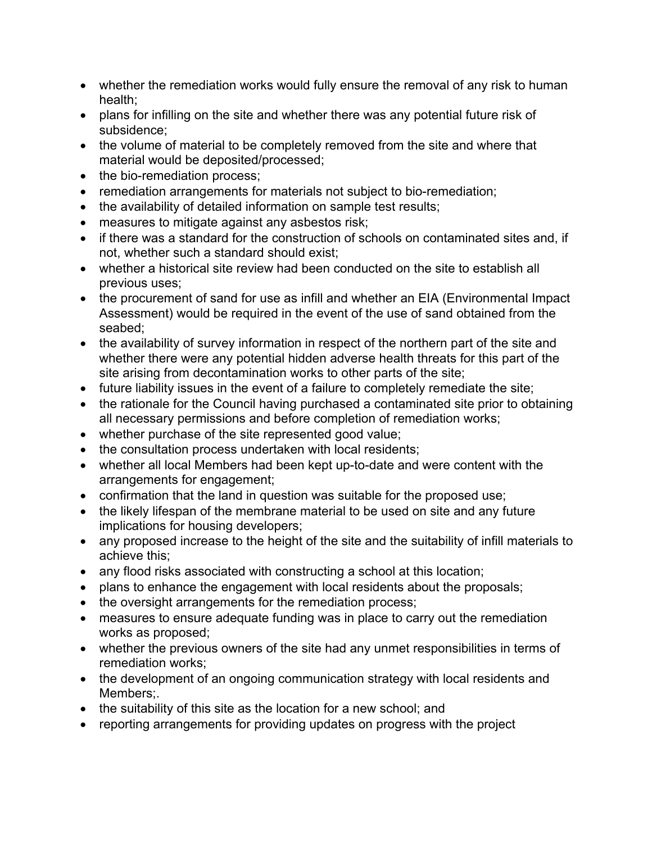- whether the remediation works would fully ensure the removal of any risk to human health;
- plans for infilling on the site and whether there was any potential future risk of subsidence;
- the volume of material to be completely removed from the site and where that material would be deposited/processed;
- the bio-remediation process;
- remediation arrangements for materials not subject to bio-remediation;
- the availability of detailed information on sample test results;
- measures to mitigate against any asbestos risk;
- if there was a standard for the construction of schools on contaminated sites and, if not, whether such a standard should exist;
- whether a historical site review had been conducted on the site to establish all previous uses;
- the procurement of sand for use as infill and whether an EIA (Environmental Impact Assessment) would be required in the event of the use of sand obtained from the seabed;
- the availability of survey information in respect of the northern part of the site and whether there were any potential hidden adverse health threats for this part of the site arising from decontamination works to other parts of the site;
- future liability issues in the event of a failure to completely remediate the site;
- the rationale for the Council having purchased a contaminated site prior to obtaining all necessary permissions and before completion of remediation works;
- whether purchase of the site represented good value;
- the consultation process undertaken with local residents;
- whether all local Members had been kept up-to-date and were content with the arrangements for engagement;
- confirmation that the land in question was suitable for the proposed use;
- the likely lifespan of the membrane material to be used on site and any future implications for housing developers;
- any proposed increase to the height of the site and the suitability of infill materials to achieve this;
- any flood risks associated with constructing a school at this location;
- plans to enhance the engagement with local residents about the proposals;
- the oversight arrangements for the remediation process;
- measures to ensure adequate funding was in place to carry out the remediation works as proposed;
- whether the previous owners of the site had any unmet responsibilities in terms of remediation works;
- the development of an ongoing communication strategy with local residents and Members;.
- the suitability of this site as the location for a new school; and
- reporting arrangements for providing updates on progress with the project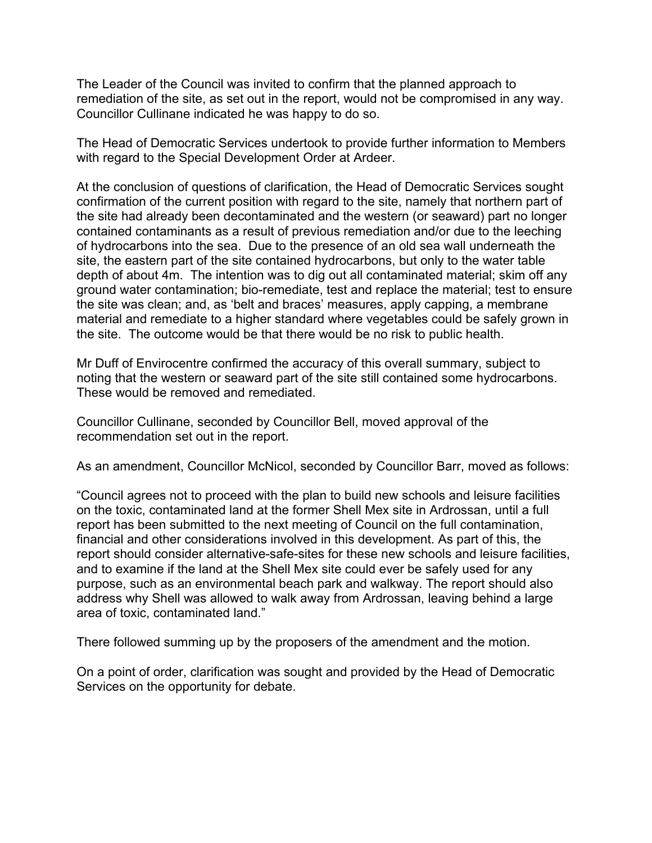The Leader of the Council was invited to confirm that the planned approach to remediation of the site, as set out in the report, would not be compromised in any way. Councillor Cullinane indicated he was happy to do so.

The Head of Democratic Services undertook to provide further information to Members with regard to the Special Development Order at Ardeer.

At the conclusion of questions of clarification, the Head of Democratic Services sought confirmation of the current position with regard to the site, namely that northern part of the site had already been decontaminated and the western (or seaward) part no longer contained contaminants as a result of previous remediation and/or due to the leeching of hydrocarbons into the sea. Due to the presence of an old sea wall underneath the site, the eastern part of the site contained hydrocarbons, but only to the water table depth of about 4m. The intention was to dig out all contaminated material; skim off any ground water contamination; bio-remediate, test and replace the material; test to ensure the site was clean; and, as 'belt and braces' measures, apply capping, a membrane material and remediate to a higher standard where vegetables could be safely grown in the site. The outcome would be that there would be no risk to public health.

Mr Duff of Envirocentre confirmed the accuracy of this overall summary, subject to noting that the western or seaward part of the site still contained some hydrocarbons. These would be removed and remediated.

Councillor Cullinane, seconded by Councillor Bell, moved approval of the recommendation set out in the report.

As an amendment, Councillor McNicol, seconded by Councillor Barr, moved as follows:

"Council agrees not to proceed with the plan to build new schools and leisure facilities on the toxic, contaminated land at the former Shell Mex site in Ardrossan, until a full report has been submitted to the next meeting of Council on the full contamination, financial and other considerations involved in this development. As part of this, the report should consider alternative-safe-sites for these new schools and leisure facilities, and to examine if the land at the Shell Mex site could ever be safely used for any purpose, such as an environmental beach park and walkway. The report should also address why Shell was allowed to walk away from Ardrossan, leaving behind a large area of toxic, contaminated land."

There followed summing up by the proposers of the amendment and the motion.

On a point of order, clarification was sought and provided by the Head of Democratic Services on the opportunity for debate.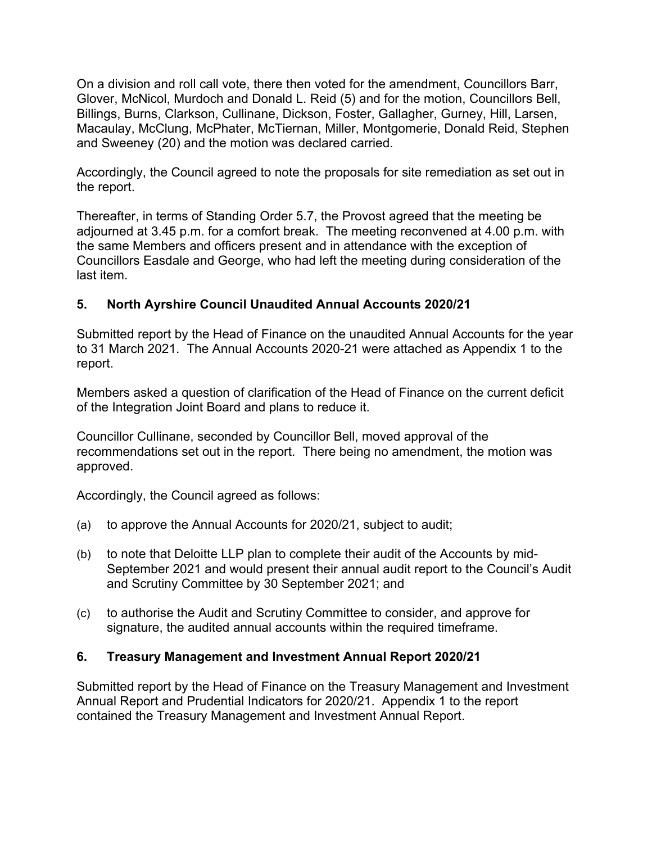On a division and roll call vote, there then voted for the amendment, Councillors Barr, Glover, McNicol, Murdoch and Donald L. Reid (5) and for the motion, Councillors Bell, Billings, Burns, Clarkson, Cullinane, Dickson, Foster, Gallagher, Gurney, Hill, Larsen, Macaulay, McClung, McPhater, McTiernan, Miller, Montgomerie, Donald Reid, Stephen and Sweeney (20) and the motion was declared carried.

Accordingly, the Council agreed to note the proposals for site remediation as set out in the report.

Thereafter, in terms of Standing Order 5.7, the Provost agreed that the meeting be adjourned at 3.45 p.m. for a comfort break. The meeting reconvened at 4.00 p.m. with the same Members and officers present and in attendance with the exception of Councillors Easdale and George, who had left the meeting during consideration of the last item.

## **5. North Ayrshire Council Unaudited Annual Accounts 2020/21**

Submitted report by the Head of Finance on the unaudited Annual Accounts for the year to 31 March 2021. The Annual Accounts 2020-21 were attached as Appendix 1 to the report.

Members asked a question of clarification of the Head of Finance on the current deficit of the Integration Joint Board and plans to reduce it.

Councillor Cullinane, seconded by Councillor Bell, moved approval of the recommendations set out in the report. There being no amendment, the motion was approved.

Accordingly, the Council agreed as follows:

- (a) to approve the Annual Accounts for 2020/21, subject to audit;
- (b) to note that Deloitte LLP plan to complete their audit of the Accounts by mid-September 2021 and would present their annual audit report to the Council's Audit and Scrutiny Committee by 30 September 2021; and
- (c) to authorise the Audit and Scrutiny Committee to consider, and approve for signature, the audited annual accounts within the required timeframe.

## **6. Treasury Management and Investment Annual Report 2020/21**

Submitted report by the Head of Finance on the Treasury Management and Investment Annual Report and Prudential Indicators for 2020/21. Appendix 1 to the report contained the Treasury Management and Investment Annual Report.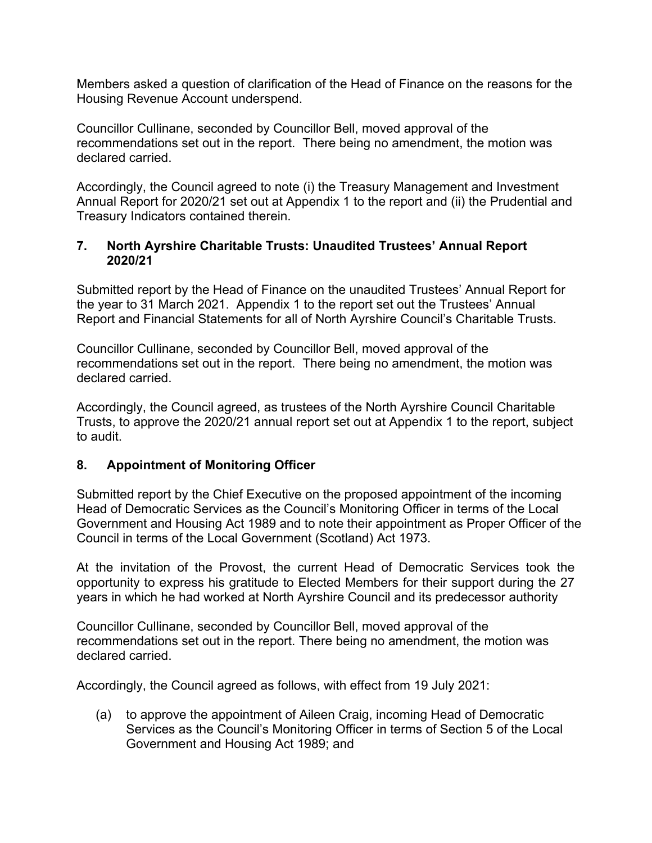Members asked a question of clarification of the Head of Finance on the reasons for the Housing Revenue Account underspend.

Councillor Cullinane, seconded by Councillor Bell, moved approval of the recommendations set out in the report. There being no amendment, the motion was declared carried.

Accordingly, the Council agreed to note (i) the Treasury Management and Investment Annual Report for 2020/21 set out at Appendix 1 to the report and (ii) the Prudential and Treasury Indicators contained therein.

## **7. North Ayrshire Charitable Trusts: Unaudited Trustees' Annual Report 2020/21**

Submitted report by the Head of Finance on the unaudited Trustees' Annual Report for the year to 31 March 2021. Appendix 1 to the report set out the Trustees' Annual Report and Financial Statements for all of North Ayrshire Council's Charitable Trusts.

Councillor Cullinane, seconded by Councillor Bell, moved approval of the recommendations set out in the report. There being no amendment, the motion was declared carried.

Accordingly, the Council agreed, as trustees of the North Ayrshire Council Charitable Trusts, to approve the 2020/21 annual report set out at Appendix 1 to the report, subject to audit.

# **8. Appointment of Monitoring Officer**

Submitted report by the Chief Executive on the proposed appointment of the incoming Head of Democratic Services as the Council's Monitoring Officer in terms of the Local Government and Housing Act 1989 and to note their appointment as Proper Officer of the Council in terms of the Local Government (Scotland) Act 1973.

At the invitation of the Provost, the current Head of Democratic Services took the opportunity to express his gratitude to Elected Members for their support during the 27 years in which he had worked at North Ayrshire Council and its predecessor authority

Councillor Cullinane, seconded by Councillor Bell, moved approval of the recommendations set out in the report. There being no amendment, the motion was declared carried.

Accordingly, the Council agreed as follows, with effect from 19 July 2021:

(a) to approve the appointment of Aileen Craig, incoming Head of Democratic Services as the Council's Monitoring Officer in terms of Section 5 of the Local Government and Housing Act 1989; and